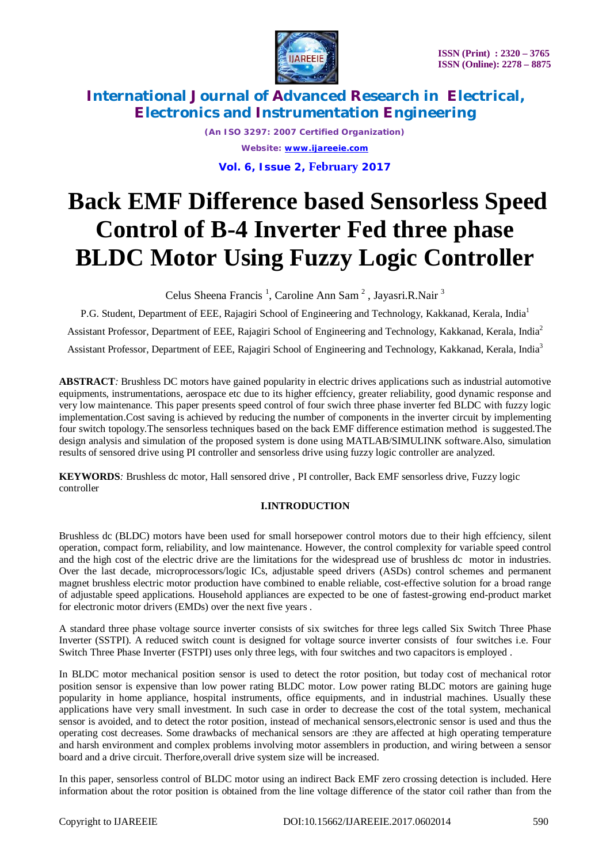

*(An ISO 3297: 2007 Certified Organization) Website: [www.ijareeie.com](http://www.ijareeie.com)* **Vol. 6, Issue 2, February 2017**

# **Back EMF Difference based Sensorless Speed Control of B-4 Inverter Fed three phase BLDC Motor Using Fuzzy Logic Controller**

Celus Sheena Francis<sup>1</sup>, Caroline Ann Sam<sup>2</sup>, Jayasri.R.Nair<sup>3</sup>

P.G. Student, Department of EEE, Rajagiri School of Engineering and Technology, Kakkanad, Kerala, India<sup>1</sup> Assistant Professor, Department of EEE, Rajagiri School of Engineering and Technology, Kakkanad, Kerala, India<sup>2</sup> Assistant Professor, Department of EEE, Rajagiri School of Engineering and Technology, Kakkanad, Kerala, India<sup>3</sup>

**ABSTRACT***:* Brushless DC motors have gained popularity in electric drives applications such as industrial automotive equipments, instrumentations, aerospace etc due to its higher effciency, greater reliability, good dynamic response and very low maintenance. This paper presents speed control of four swich three phase inverter fed BLDC with fuzzy logic implementation.Cost saving is achieved by reducing the number of components in the inverter circuit by implementing four switch topology.The sensorless techniques based on the back EMF difference estimation method is suggested.The design analysis and simulation of the proposed system is done using MATLAB/SIMULINK software.Also, simulation results of sensored drive using PI controller and sensorless drive using fuzzy logic controller are analyzed.

**KEYWORDS***:* Brushless dc motor, Hall sensored drive , PI controller, Back EMF sensorless drive, Fuzzy logic controller

### **I.INTRODUCTION**

Brushless dc (BLDC) motors have been used for small horsepower control motors due to their high effciency, silent operation, compact form, reliability, and low maintenance. However, the control complexity for variable speed control and the high cost of the electric drive are the limitations for the widespread use of brushless dc motor in industries. Over the last decade, microprocessors/logic ICs, adjustable speed drivers (ASDs) control schemes and permanent magnet brushless electric motor production have combined to enable reliable, cost-effective solution for a broad range of adjustable speed applications. Household appliances are expected to be one of fastest-growing end-product market for electronic motor drivers (EMDs) over the next five years .

A standard three phase voltage source inverter consists of six switches for three legs called Six Switch Three Phase Inverter (SSTPI). A reduced switch count is designed for voltage source inverter consists of four switches i.e. Four Switch Three Phase Inverter (FSTPI) uses only three legs, with four switches and two capacitors is employed .

In BLDC motor mechanical position sensor is used to detect the rotor position, but today cost of mechanical rotor position sensor is expensive than low power rating BLDC motor. Low power rating BLDC motors are gaining huge popularity in home appliance, hospital instruments, office equipments, and in industrial machines. Usually these applications have very small investment. In such case in order to decrease the cost of the total system, mechanical sensor is avoided, and to detect the rotor position, instead of mechanical sensors,electronic sensor is used and thus the operating cost decreases. Some drawbacks of mechanical sensors are :they are affected at high operating temperature and harsh environment and complex problems involving motor assemblers in production, and wiring between a sensor board and a drive circuit. Therfore,overall drive system size will be increased.

In this paper, sensorless control of BLDC motor using an indirect Back EMF zero crossing detection is included. Here information about the rotor position is obtained from the line voltage difference of the stator coil rather than from the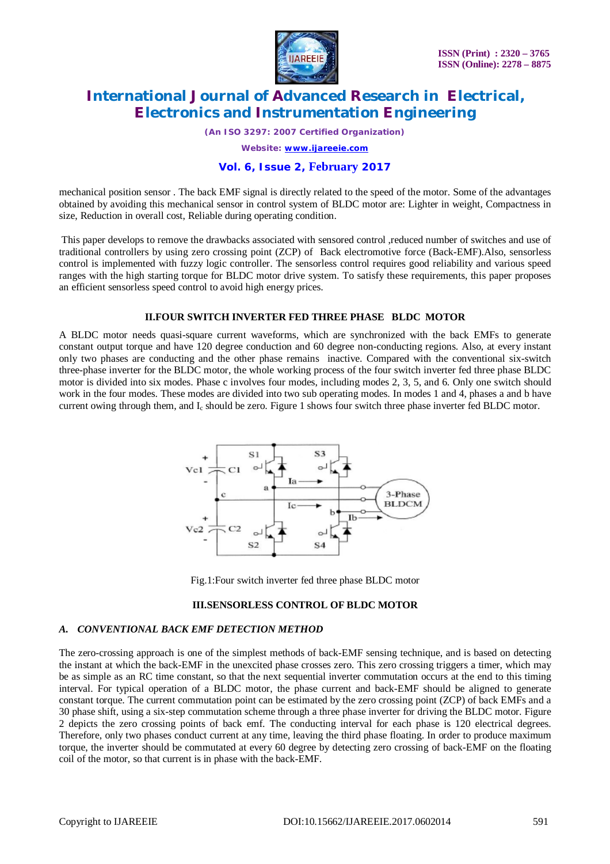

*(An ISO 3297: 2007 Certified Organization)*

*Website: [www.ijareeie.com](http://www.ijareeie.com)*

### **Vol. 6, Issue 2, February 2017**

mechanical position sensor . The back EMF signal is directly related to the speed of the motor. Some of the advantages obtained by avoiding this mechanical sensor in control system of BLDC motor are: Lighter in weight, Compactness in size, Reduction in overall cost, Reliable during operating condition.

This paper develops to remove the drawbacks associated with sensored control ,reduced number of switches and use of traditional controllers by using zero crossing point (ZCP) of Back electromotive force (Back-EMF).Also, sensorless control is implemented with fuzzy logic controller. The sensorless control requires good reliability and various speed ranges with the high starting torque for BLDC motor drive system. To satisfy these requirements, this paper proposes an efficient sensorless speed control to avoid high energy prices.

#### **II.FOUR SWITCH INVERTER FED THREE PHASE BLDC MOTOR**

A BLDC motor needs quasi-square current waveforms, which are synchronized with the back EMFs to generate constant output torque and have 120 degree conduction and 60 degree non-conducting regions. Also, at every instant only two phases are conducting and the other phase remains inactive. Compared with the conventional six-switch three-phase inverter for the BLDC motor, the whole working process of the four switch inverter fed three phase BLDC motor is divided into six modes. Phase c involves four modes, including modes 2, 3, 5, and 6. Only one switch should work in the four modes. These modes are divided into two sub operating modes. In modes 1 and 4, phases a and b have current owing through them, and I<sub>c</sub> should be zero. Figure 1 shows four switch three phase inverter fed BLDC motor.



Fig.1:Four switch inverter fed three phase BLDC motor

#### **III.SENSORLESS CONTROL OF BLDC MOTOR**

#### *A. CONVENTIONAL BACK EMF DETECTION METHOD*

The zero-crossing approach is one of the simplest methods of back-EMF sensing technique, and is based on detecting the instant at which the back-EMF in the unexcited phase crosses zero. This zero crossing triggers a timer, which may be as simple as an RC time constant, so that the next sequential inverter commutation occurs at the end to this timing interval. For typical operation of a BLDC motor, the phase current and back-EMF should be aligned to generate constant torque. The current commutation point can be estimated by the zero crossing point (ZCP) of back EMFs and a 30 phase shift, using a six-step commutation scheme through a three phase inverter for driving the BLDC motor. Figure 2 depicts the zero crossing points of back emf. The conducting interval for each phase is 120 electrical degrees. Therefore, only two phases conduct current at any time, leaving the third phase floating. In order to produce maximum torque, the inverter should be commutated at every 60 degree by detecting zero crossing of back-EMF on the floating coil of the motor, so that current is in phase with the back-EMF.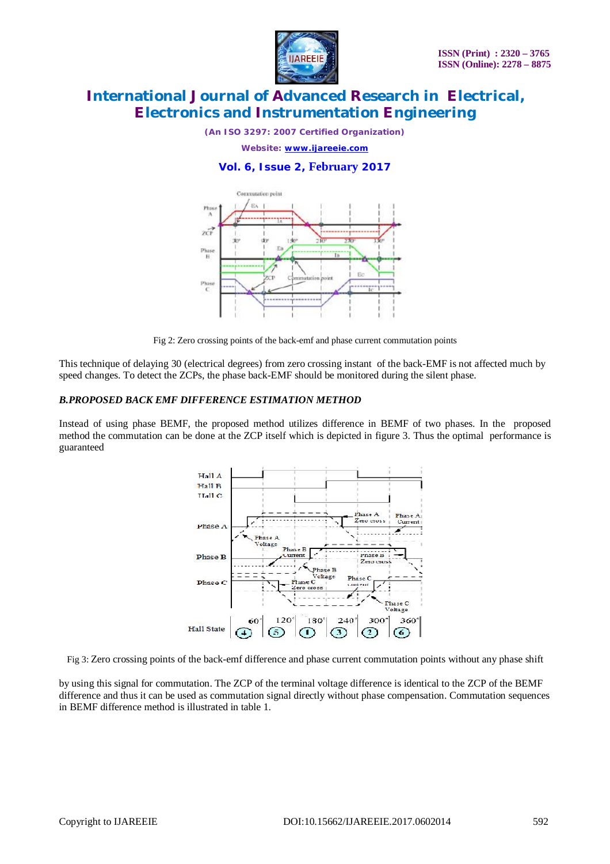

*(An ISO 3297: 2007 Certified Organization)*

*Website: [www.ijareeie.com](http://www.ijareeie.com)*

### **Vol. 6, Issue 2, February 2017**



Fig 2: Zero crossing points of the back-emf and phase current commutation points

This technique of delaying 30 (electrical degrees) from zero crossing instant of the back-EMF is not affected much by speed changes. To detect the ZCPs, the phase back-EMF should be monitored during the silent phase.

#### *B.PROPOSED BACK EMF DIFFERENCE ESTIMATION METHOD*

Instead of using phase BEMF, the proposed method utilizes difference in BEMF of two phases. In the proposed method the commutation can be done at the ZCP itself which is depicted in figure 3. Thus the optimal performance is guaranteed



Fig 3: Zero crossing points of the back-emf difference and phase current commutation points without any phase shift

by using this signal for commutation. The ZCP of the terminal voltage difference is identical to the ZCP of the BEMF difference and thus it can be used as commutation signal directly without phase compensation. Commutation sequences in BEMF difference method is illustrated in table 1.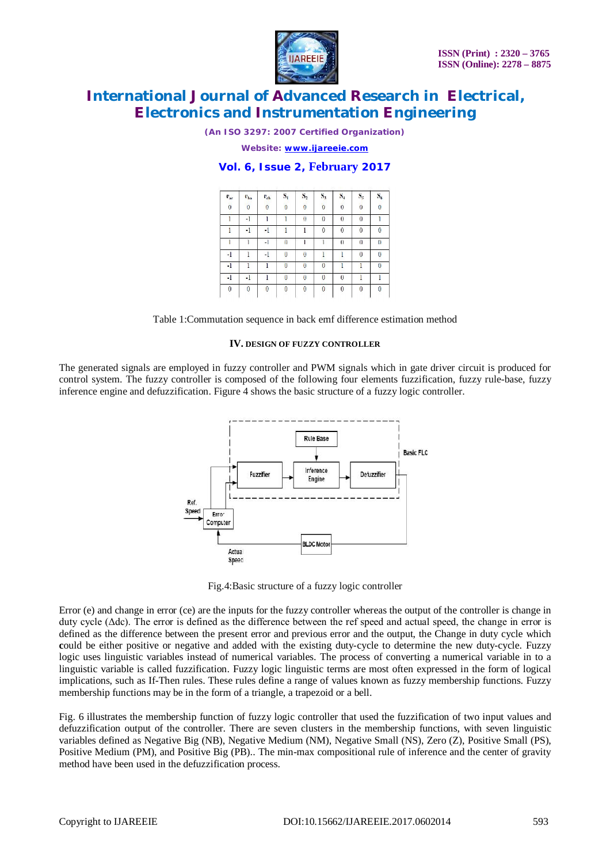

*(An ISO 3297: 2007 Certified Organization)*

*Website: [www.ijareeie.com](http://www.ijareeie.com)*

### **Vol. 6, Issue 2, February 2017**

| $\mathbf{e}_{\text{ac}}$ | e <sub>ba</sub> | $\mathbf{r}_{\text{ch}}$ | $S_{1}$        | $S_2$        | $S_3$          | $S_4$        | $S_{5}$         | $S_6$      |
|--------------------------|-----------------|--------------------------|----------------|--------------|----------------|--------------|-----------------|------------|
| $\overline{0}$           | $\mathbf 0$     | $\mathbf 0$              | $\mathbf{0}$   | 0            | $\mathbf 0$    | $\mathbf 0$  | $\mathbf 0$     | 0          |
|                          | -1              |                          |                | $\theta$     | $\bf{0}$       | 0            | $\overline{()}$ |            |
|                          | $-1$            | $-1$                     |                |              | $\theta$       | $\mathbf{0}$ | $\mathbf 0$     | 0          |
|                          |                 | $-1$                     | $\overline{0}$ |              |                | $\theta$     | $\bf{0}$        | $\sqrt{ }$ |
| -1                       |                 | -1                       | $\theta$       | $\theta$     |                |              | $\mathcal{O}$   | $\bf{0}$   |
| $-1$                     |                 |                          | $\Omega$       | $\mathbf{0}$ | $\overline{0}$ |              |                 | 0          |
| $\lceil$                 | -1              |                          | $\mathbf{0}$   | $\bf{0}$     | $\overline{0}$ | $\theta$     |                 |            |
| $\mathbf{0}$             | $\theta$        | $\Omega$                 | $\overline{0}$ | $\mathbf{0}$ | $\theta$       | $\theta$     | $\mathbf{0}$    | 0          |

Table 1:Commutation sequence in back emf difference estimation method

#### **IV. DESIGN OF FUZZY CONTROLLER**

The generated signals are employed in fuzzy controller and PWM signals which in gate driver circuit is produced for control system. The fuzzy controller is composed of the following four elements fuzzification, fuzzy rule-base, fuzzy inference engine and defuzzification. Figure 4 shows the basic structure of a fuzzy logic controller.



Fig.4:Basic structure of a fuzzy logic controller

Error (e) and change in error (ce) are the inputs for the fuzzy controller whereas the output of the controller is change in duty cycle (Δdc). The error is defined as the difference between the ref speed and actual speed, the change in error is defined as the difference between the present error and previous error and the output, the Change in duty cycle which **c**ould be either positive or negative and added with the existing duty-cycle to determine the new duty-cycle. Fuzzy logic uses linguistic variables instead of numerical variables. The process of converting a numerical variable in to a linguistic variable is called fuzzification. Fuzzy logic linguistic terms are most often expressed in the form of logical implications, such as If-Then rules. These rules define a range of values known as fuzzy membership functions. Fuzzy membership functions may be in the form of a triangle, a trapezoid or a bell.

Fig. 6 illustrates the membership function of fuzzy logic controller that used the fuzzification of two input values and defuzzification output of the controller. There are seven clusters in the membership functions, with seven linguistic variables defined as Negative Big (NB), Negative Medium (NM), Negative Small (NS), Zero (Z), Positive Small (PS), Positive Medium (PM), and Positive Big (PB).. The min-max compositional rule of inference and the center of gravity method have been used in the defuzzification process.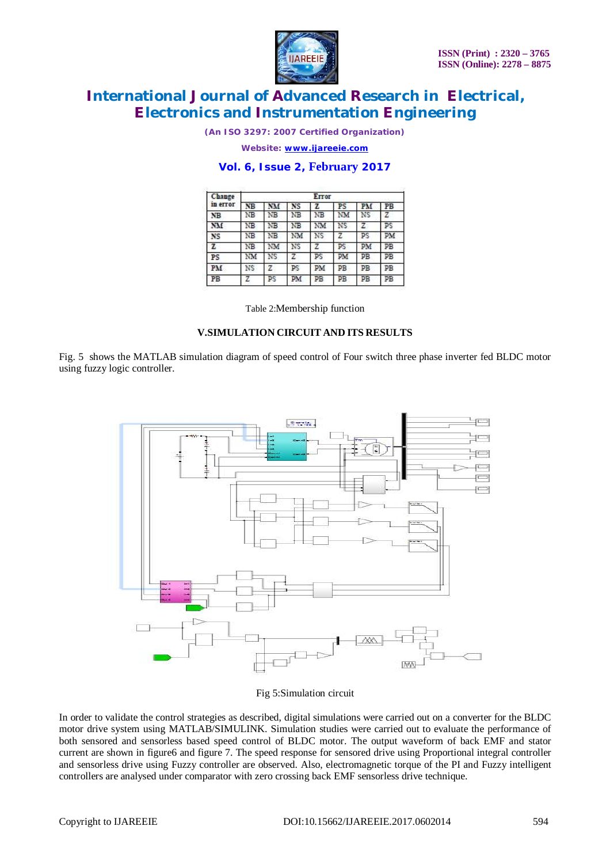

*(An ISO 3297: 2007 Certified Organization)*

*Website: [www.ijareeie.com](http://www.ijareeie.com)*

### **Vol. 6, Issue 2, February 2017**

| Change       | Error |    |    |     |    |                |    |  |  |  |
|--------------|-------|----|----|-----|----|----------------|----|--|--|--|
| in error     | NB    | NM | NS | z   | PS | PM             | PB |  |  |  |
| <b>NB</b>    | ΝB    | ΝB | ΝB | NB  | NM | NS             | Z  |  |  |  |
| NM           | ΝB    | ΝB | NB | NM  | NS | $\overline{z}$ | ps |  |  |  |
| <b>NS</b>    | ΝB    | NΒ | NM | NS. | Z  | PS             | PМ |  |  |  |
| $\mathbf{z}$ | ΝB    | NM | NS | z   | PS | PM             | PB |  |  |  |
| PS           | NM    | NS | z  | PS  | PM | PB             | PB |  |  |  |
| PM           | NS    | 7  | PS | PM. | PB | PB             | PB |  |  |  |
| PB           | z     | PS | PМ | PB  | PВ | PB             | PB |  |  |  |

Table 2:Membership function

### **V.SIMULATION CIRCUIT AND ITS RESULTS**

Fig. 5 shows the MATLAB simulation diagram of speed control of Four switch three phase inverter fed BLDC motor using fuzzy logic controller.



#### Fig 5:Simulation circuit

In order to validate the control strategies as described, digital simulations were carried out on a converter for the BLDC motor drive system using MATLAB/SIMULINK. Simulation studies were carried out to evaluate the performance of both sensored and sensorless based speed control of BLDC motor. The output waveform of back EMF and stator current are shown in figure6 and figure 7. The speed response for sensored drive using Proportional integral controller and sensorless drive using Fuzzy controller are observed. Also, electromagnetic torque of the PI and Fuzzy intelligent controllers are analysed under comparator with zero crossing back EMF sensorless drive technique.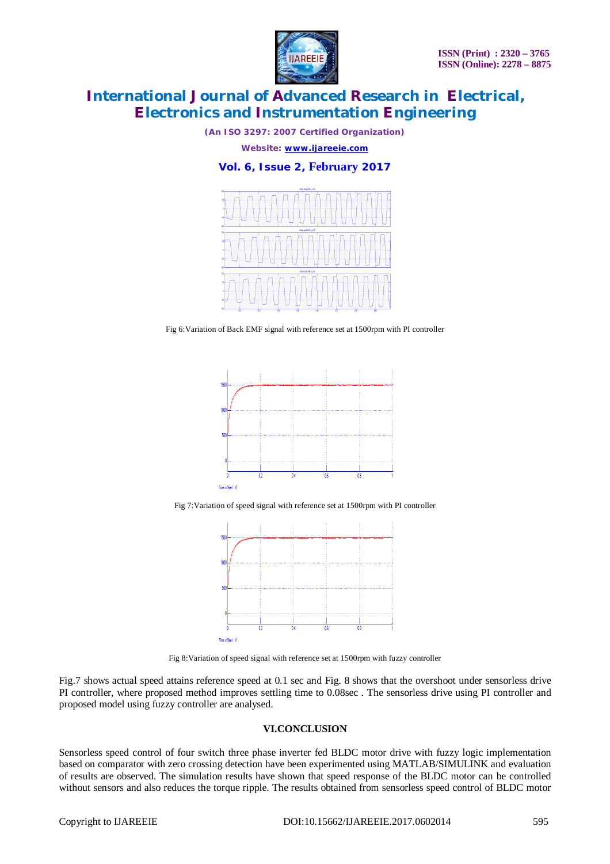

*(An ISO 3297: 2007 Certified Organization)*

*Website: [www.ijareeie.com](http://www.ijareeie.com)*

**Vol. 6, Issue 2, February 2017**



Fig 6: Variation of Back EMF signal with reference set at 1500rpm with PI controller



Fig 7:Variation of speed signal with reference set at 1500rpm with PI controller



Fig 8:Variation of speed signal with reference set at 1500rpm with fuzzy controller

Fig.7 shows actual speed attains reference speed at 0.1 sec and Fig. 8 shows that the overshoot under sensorless drive PI controller, where proposed method improves settling time to 0.08sec . The sensorless drive using PI controller and proposed model using fuzzy controller are analysed.

#### **VI.CONCLUSION**

Sensorless speed control of four switch three phase inverter fed BLDC motor drive with fuzzy logic implementation based on comparator with zero crossing detection have been experimented using MATLAB/SIMULINK and evaluation of results are observed. The simulation results have shown that speed response of the BLDC motor can be controlled without sensors and also reduces the torque ripple. The results obtained from sensorless speed control of BLDC motor